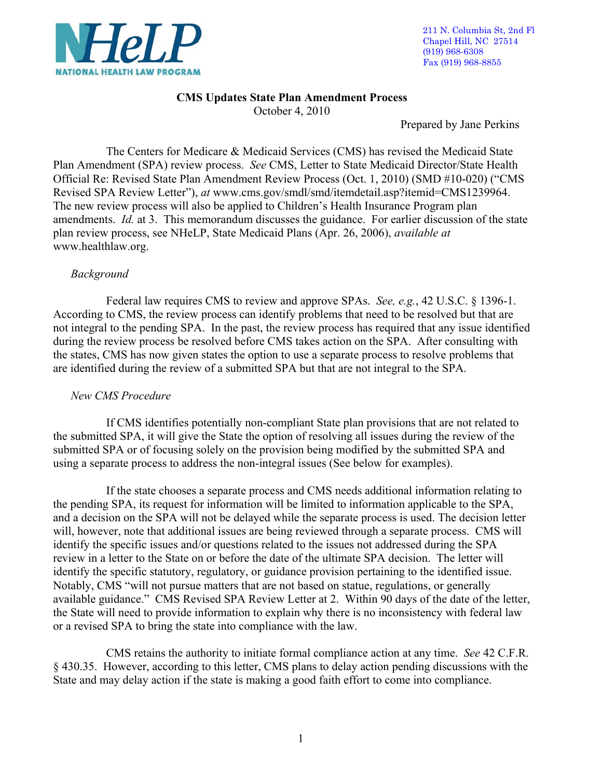

# **CMS Updates State Plan Amendment Process**

October 4, 2010

Prepared by Jane Perkins

 The Centers for Medicare & Medicaid Services (CMS) has revised the Medicaid State Plan Amendment (SPA) review process. *See* CMS, Letter to State Medicaid Director/State Health Official Re: Revised State Plan Amendment Review Process (Oct. 1, 2010) (SMD #10-020) ("CMS Revised SPA Review Letter"), *at* www.cms.gov/smdl/smd/itemdetail.asp?itemid=CMS1239964. The new review process will also be applied to Children's Health Insurance Program plan amendments. *Id.* at 3. This memorandum discusses the guidance. For earlier discussion of the state plan review process, see NHeLP, State Medicaid Plans (Apr. 26, 2006), *available at*  www.healthlaw.org.

# *Background*

 Federal law requires CMS to review and approve SPAs. *See, e.g.*, 42 U.S.C. § 1396-1. According to CMS, the review process can identify problems that need to be resolved but that are not integral to the pending SPA. In the past, the review process has required that any issue identified during the review process be resolved before CMS takes action on the SPA. After consulting with the states, CMS has now given states the option to use a separate process to resolve problems that are identified during the review of a submitted SPA but that are not integral to the SPA.

# *New CMS Procedure*

 If CMS identifies potentially non-compliant State plan provisions that are not related to the submitted SPA, it will give the State the option of resolving all issues during the review of the submitted SPA or of focusing solely on the provision being modified by the submitted SPA and using a separate process to address the non-integral issues (See below for examples).

If the state chooses a separate process and CMS needs additional information relating to the pending SPA, its request for information will be limited to information applicable to the SPA, and a decision on the SPA will not be delayed while the separate process is used. The decision letter will, however, note that additional issues are being reviewed through a separate process. CMS will identify the specific issues and/or questions related to the issues not addressed during the SPA review in a letter to the State on or before the date of the ultimate SPA decision. The letter will identify the specific statutory, regulatory, or guidance provision pertaining to the identified issue. Notably, CMS "will not pursue matters that are not based on statue, regulations, or generally available guidance." CMS Revised SPA Review Letter at 2. Within 90 days of the date of the letter, the State will need to provide information to explain why there is no inconsistency with federal law or a revised SPA to bring the state into compliance with the law.

CMS retains the authority to initiate formal compliance action at any time. *See* 42 C.F.R. § 430.35. However, according to this letter, CMS plans to delay action pending discussions with the State and may delay action if the state is making a good faith effort to come into compliance.